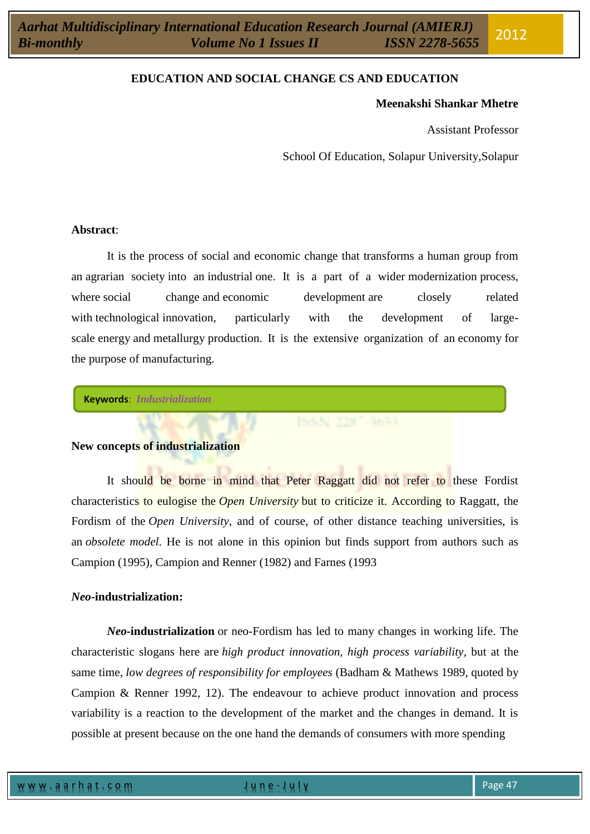#### **EDUCATION AND SOCIAL CHANGE CS AND EDUCATION**

## **Meenakshi Shankar Mhetre**

Assistant Professor

School Of Education, Solapur University,Solapur

#### **Abstract**:

It is the process of social and economic change that transforms a human group from an [agrarian society](http://en.wikipedia.org/wiki/Agrarian_society) into an [industrial](http://en.wikipedia.org/wiki/Industry) one. It is a part of a wider [modernization](http://en.wikipedia.org/wiki/Modernisation) process, where [social change](http://en.wikipedia.org/wiki/Social_change) and economic development are closely related with [technological](http://en.wikipedia.org/wiki/Technological) [innovation,](http://en.wikipedia.org/wiki/Innovation) particularly with the development of largescale [energy](http://en.wikipedia.org/wiki/Energy) and [metallurgy](http://en.wikipedia.org/wiki/Metallurgy) production. It is the extensive organization of an [economy](http://en.wikipedia.org/wiki/Economy) for the purpose of [manufacturing.](http://en.wikipedia.org/wiki/Manufacturing)

**Keywords**: *Industrialization*

#### **New concepts of industrialization**

It should be borne in mind that Peter Raggatt did not refer to these Fordist characteristics to eulogise the *Open University* but to criticize it. According to Raggatt, the Fordism of the *Open University*, and of course, of other distance teaching universities, is an *obsolete model*. He is not alone in this opinion but finds support from authors such as Campion (1995), Campion and Renner (1982) and Farnes (1993

#### *Neo***-industrialization:**

*Neo***-industrialization** or neo-Fordism has led to many changes in working life. The characteristic slogans here are *high product innovation, high process variability*, but at the same time, *low degrees of responsibility for employees* (Badham & Mathews 1989, quoted by Campion & Renner 1992, 12). The endeavour to achieve product innovation and process variability is a reaction to the development of the market and the changes in demand. It is possible at present because on the one hand the demands of consumers with more spending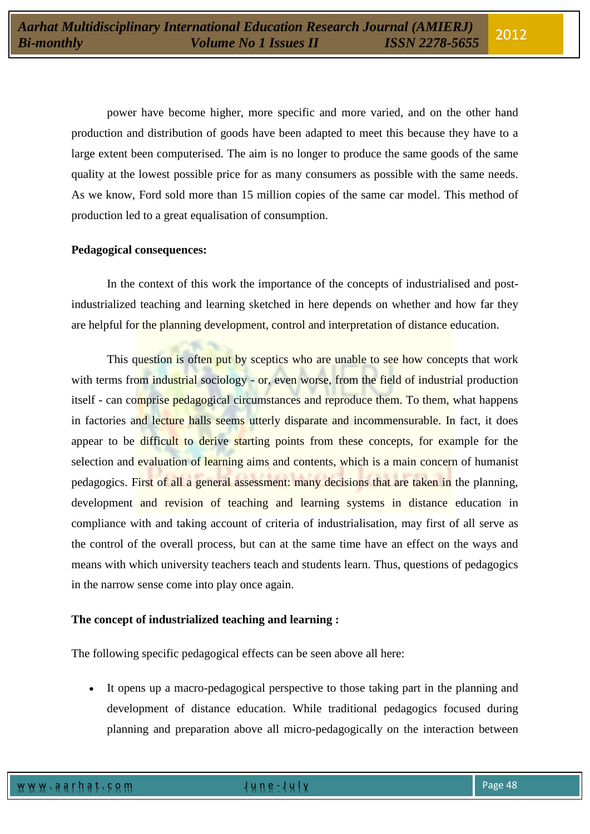power have become higher, more specific and more varied, and on the other hand production and distribution of goods have been adapted to meet this because they have to a large extent been computerised. The aim is no longer to produce the same goods of the same quality at the lowest possible price for as many consumers as possible with the same needs. As we know, Ford sold more than 15 million copies of the same car model. This method of production led to a great equalisation of consumption.

## **Pedagogical consequences:**

In the context of this work the importance of the concepts of industrialised and postindustrialized teaching and learning sketched in here depends on whether and how far they are helpful for the planning development, control and interpretation of distance education.

This question is often put by sceptics who are unable to see how concepts that work with terms from industrial sociology - or, even worse, from the field of industrial production itself - can comprise pedagogical circumstances and reproduce them. To them, what happens in factories and lecture halls seems utterly disparate and incommensurable. In fact, it does appear to be difficult to derive starting points from these concepts, for example for the selection and evaluation of learning aims and contents, which is a main concern of humanist pedagogics. First of all a general assessment: many decisions that are taken in the planning, development and revision of teaching and learning systems in distance education in compliance with and taking account of criteria of industrialisation, may first of all serve as the control of the overall process, but can at the same time have an effect on the ways and means with which university teachers teach and students learn. Thus, questions of pedagogics in the narrow sense come into play once again.

# **The concept of industrialized teaching and learning :**

The following specific pedagogical effects can be seen above all here:

 It opens up a macro-pedagogical perspective to those taking part in the planning and development of distance education. While traditional pedagogics focused during planning and preparation above all micro-pedagogically on the interaction between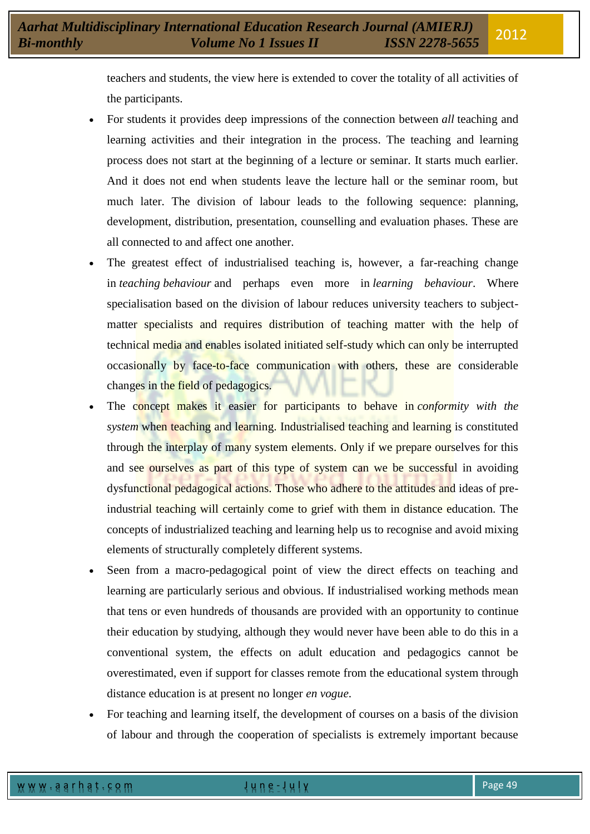teachers and students, the view here is extended to cover the totality of all activities of the participants.

- For students it provides deep impressions of the connection between *all* teaching and learning activities and their integration in the process. The teaching and learning process does not start at the beginning of a lecture or seminar. It starts much earlier. And it does not end when students leave the lecture hall or the seminar room, but much later. The division of labour leads to the following sequence: planning, development, distribution, presentation, counselling and evaluation phases. These are all connected to and affect one another.
- The greatest effect of industrialised teaching is, however, a far-reaching change in *teaching behaviour* and perhaps even more in *learning behaviour*. Where specialisation based on the division of labour reduces university teachers to subjectmatter specialists and requires distribution of teaching matter with the help of technical media and enables isolated initiated self-study which can only be interrupted occasionally by face-to-face communication with others, these are considerable changes in the field of pedagogics.
- The concept makes it easier for participants to behave in *conformity with the system* when teaching and learning. Industrialised teaching and learning is constituted through the interplay of many system elements. Only if we prepare ourselves for this and see ourselves as part of this type of system can we be successful in avoiding dysfunctional pedagogical actions. Those who adhere to the attitudes and ideas of preindustrial teaching will certainly come to grief with them in distance education. The concepts of industrialized teaching and learning help us to recognise and avoid mixing elements of structurally completely different systems.
- Seen from a macro-pedagogical point of view the direct effects on teaching and learning are particularly serious and obvious. If industrialised working methods mean that tens or even hundreds of thousands are provided with an opportunity to continue their education by studying, although they would never have been able to do this in a conventional system, the effects on adult education and pedagogics cannot be overestimated, even if support for classes remote from the educational system through distance education is at present no longer *en vogue*.
- For teaching and learning itself, the development of courses on a basis of the division of labour and through the cooperation of specialists is extremely important because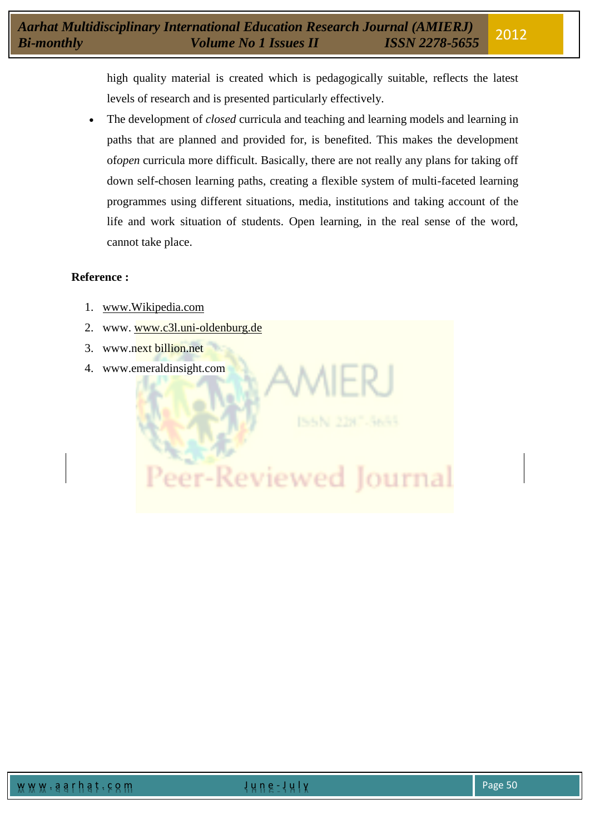high quality material is created which is pedagogically suitable, reflects the latest levels of research and is presented particularly effectively.

 The development of *closed* curricula and teaching and learning models and learning in paths that are planned and provided for, is benefited. This makes the development of*open* curricula more difficult. Basically, there are not really any plans for taking off down self-chosen learning paths, creating a flexible system of multi-faceted learning programmes using different situations, media, institutions and taking account of the life and work situation of students. Open learning, in the real sense of the word, cannot take place.

## **Reference :**

- 1. [www.Wikipedia.com](http://www.wikipedia.com/)
- 2. www. [www.c3l.uni-oldenburg.de](http://www.c3l.uni-oldenburg.de/)
- 3. www.next billion.net
- 4. www.emeraldinsight.com

-Reviewed Journal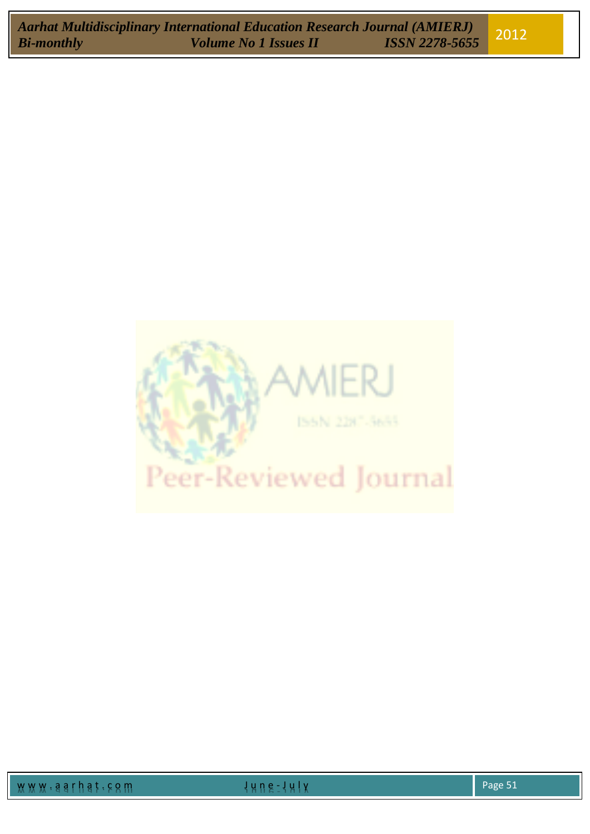|                   | <b>Aarhat Multidisciplinary International Education Research Journal (AMIERJ)</b><br>Bi-monthly <b>Bi-monthly Colume No 1 Issues II ISSN 2278-5655</b> |  |  |
|-------------------|--------------------------------------------------------------------------------------------------------------------------------------------------------|--|--|
| <b>Bi-monthly</b> |                                                                                                                                                        |  |  |

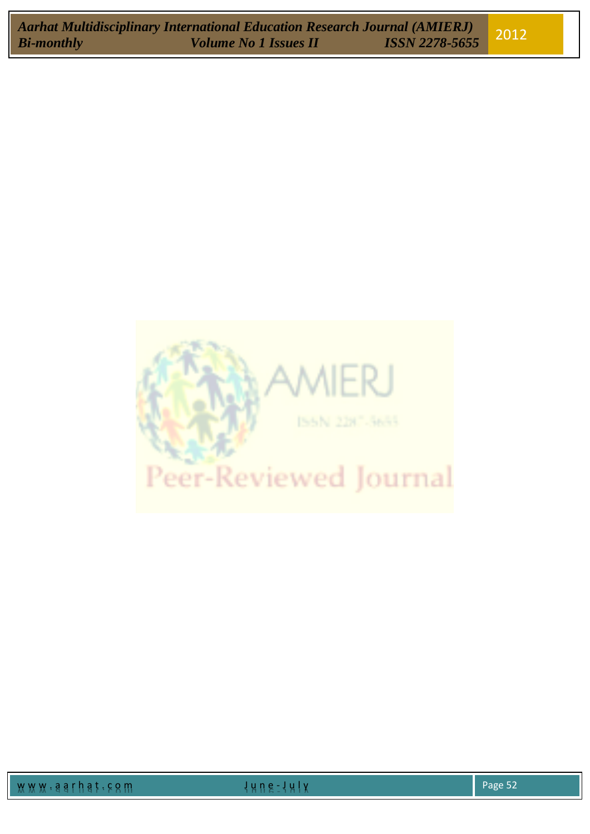|                   | <b>Aarhat Multidisciplinary International Education Research Journal (AMIERJ)</b><br>Bi-monthly <b>Bi-monthly Colume No 1 Issues II ISSN 2278-5655</b> |  |  |
|-------------------|--------------------------------------------------------------------------------------------------------------------------------------------------------|--|--|
| <b>Bi-monthly</b> |                                                                                                                                                        |  |  |